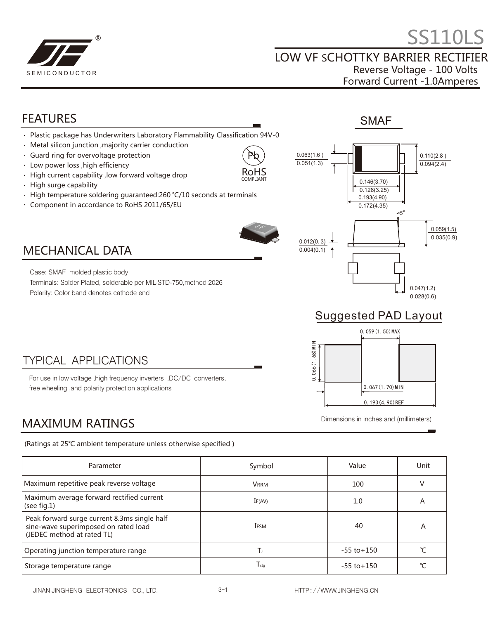

## FEATURES

#### Plastic package has Underwriters Laboratory Flammability Classification 94V-0

- Metal silicon junction ,majority carrier conduction  $\bullet$
- $\ddot{\phantom{a}}$ Guard ring for overvoltage protection
- $\ddot{\phantom{a}}$ Low power loss ,high efficiency

MECHANICAL DATA

Case: SMAF molded plastic body

Polarity: Color band denotes cathode end

- High current capability ,low forward voltage drop  $\ddot{\phantom{a}}$
- High surge capability  $\bullet$
- High temperature soldering guaranteed:260 ℃/10 seconds at terminals  $\bullet$
- $\bullet$ Component in accordance to RoHS 2011/65/EU



Pb RoHS COMPLIANT



## Suggested PAD Layout



Dimensions in inches and (millimeters)

#### TYPICAL APPLICATIONS

For use in low voltage ,high frequency inverters ,DC/DC converters, free wheeling ,and polarity protection applications

Terminals: Solder Plated, solderable per MIL-STD-750,method 2026

## MAXIMUM RATINGS

(Ratings at 25℃ ambient temperature unless otherwise specified )

| Parameter                                                                                                          | Symbol        | Value           | Unit |
|--------------------------------------------------------------------------------------------------------------------|---------------|-----------------|------|
| Maximum repetitive peak reverse voltage                                                                            | <b>VRRM</b>   | 100             |      |
| Maximum average forward rectified current<br>(see fig.1)                                                           | IF(AV)        | 1.0             | A    |
| Peak forward surge current 8.3ms single half<br>sine-wave superimposed on rated load<br>(JEDEC method at rated TL) | <b>IFSM</b>   | 40              | А    |
| Operating junction temperature range                                                                               |               | $-55$ to $+150$ | ℃    |
| Storage temperature range                                                                                          | $T_{\sf stq}$ | $-55$ to $+150$ | °C   |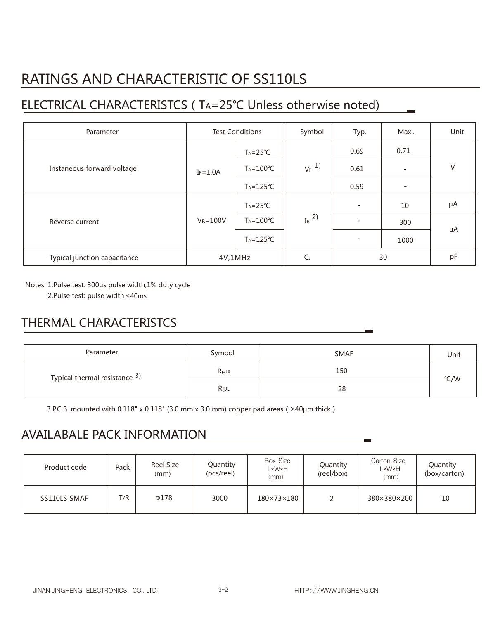# RATINGS AND CHARACTERISTIC OF SS110LS

## ELECTRICAL CHARACTERISTCS(TA=25℃ Unless otherwise noted)

| Parameter                    | <b>Test Conditions</b> |                      | Symbol              | Typ.                     | Max.              | Unit |
|------------------------------|------------------------|----------------------|---------------------|--------------------------|-------------------|------|
| Instaneous forward voltage   |                        | $Ta = 25^{\circ}C$   | $V_F$ <sup>1)</sup> | 0.69                     | 0.71              | V    |
|                              | $IF = 1.0A$            | $T_A = 100^{\circ}C$ |                     | 0.61                     |                   |      |
|                              |                        | $T_A = 125$ °C       |                     | 0.59                     | $\qquad \qquad -$ |      |
| Reverse current              | $V_R = 100V$           | $Ta = 25^{\circ}C$   | IR $^{2)}$          | $\overline{\phantom{a}}$ | 10                | μA   |
|                              |                        | $T_A = 100^{\circ}C$ |                     | $\overline{\phantom{a}}$ | 300               | μA   |
|                              |                        | $Ta = 125^{\circ}C$  |                     | $\overline{\phantom{a}}$ | 1000              |      |
| Typical junction capacitance | 4V,1MHz                |                      | $\mathsf{C}$        | 30                       |                   | pF   |

Notes: 1. Pulse test: 300μs pulse width, 1% duty cycle

2.Pulse test: pulse width ≤40ms

### THERMAL CHARACTERISTCS

| Parameter                                | Symbol          | <b>SMAF</b> | Unit |  |
|------------------------------------------|-----------------|-------------|------|--|
| Typical thermal resistance <sup>3)</sup> | $R_{\theta}$ JA | 150         |      |  |
|                                          | Rejl            | 28          | °C/W |  |

3.P.C.B. mounted with 0.118" x 0.118" (3.0 mm x 3.0 mm) copper pad areas ( $\geq 40$ µm thick)

### AVAILABALE PACK INFORMATION

| Product code | Pack | <b>Reel Size</b><br>(mm) | Quantity<br>(pcs/reel) | Box Size<br>∟×W×H<br>(mm) | Quantity<br>(reel/box) | Carton Size<br>L×W×H<br>(mm) | Quantity<br>(box/carton) |
|--------------|------|--------------------------|------------------------|---------------------------|------------------------|------------------------------|--------------------------|
| SS110LS-SMAF | T/R  | $\Phi$ 178               | 3000                   | $180\times73\times180$    |                        | 380×380×200                  | 10                       |